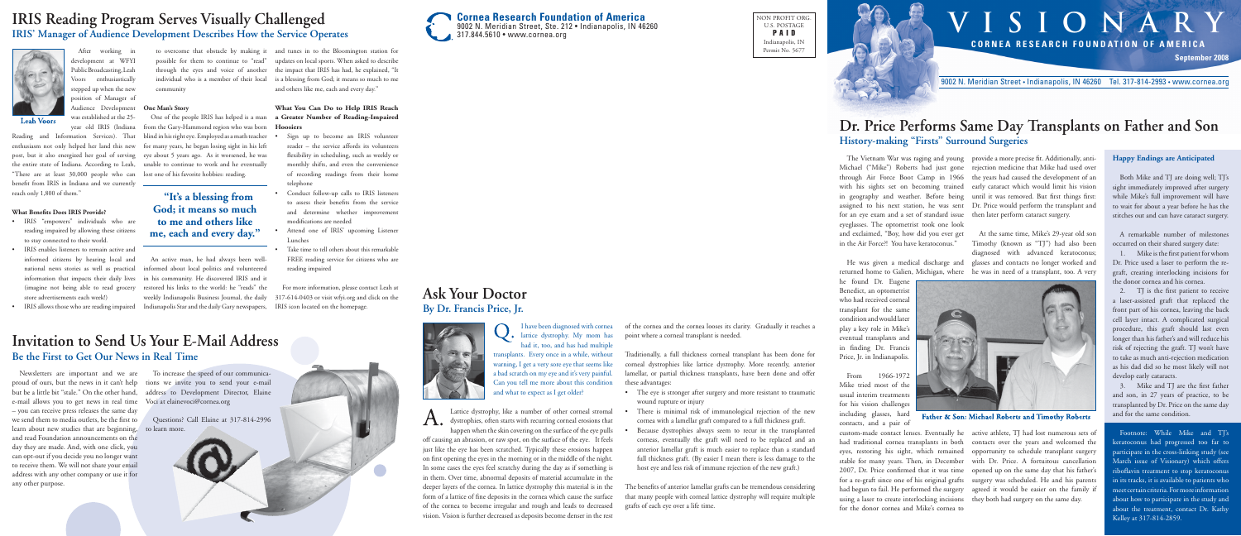

NON PROFIT ORG. U.S. POSTAGE PAID Indianapolis, IN Permit No. 5677

# **VISIONARY CORNEA RESEARCH FOUNDATION OF AMERICA**

**September 2008**

9002 N. Meridian Street • Indianapolis, IN 46260 Tel. 317-814-2993 • www.cornea.org

The Vietnam War was raging and young provide a more precise fit. Additionally, anti-Michael ("Mike") Roberts had just gone rejection medicine that Mike had used over for an eye exam and a set of standard issue then later perform cataract surgery. eyeglasses. The optometrist took one look and exclaimed, "Boy, how did you ever get in the Air Force?! You have keratoconus."



through Air Force Boot Camp in 1966 the years had caused the development of an with his sights set on becoming trained early cataract which would limit his vision in geography and weather. Before being until it was removed. But first things first: assigned to his next station, he was sent Dr. Price would perform the transplant and

contacts, and a pair of

He was given a medical discharge and glasses and contacts no longer worked and returned home to Galien, Michigan, where he was in need of a transplant, too. A very At the same time, Mike's 29-year old son Timothy (known as "TJ") had also been diagnosed with advanced keratoconus;

using a laser to create interlocking incisions they both had surgery on the same day. for the donor cornea and Mike's cornea to

custom-made contact lenses. Eventually he active athlete, TJ had lost numerous sets of had traditional cornea transplants in both contacts over the years and welcomed the eyes, restoring his sight, which remained opportunity to schedule transplant surgery stable for many years. Then, in December with Dr. Price. A fortuitous cancellation 2007, Dr. Price confirmed that it was time opened up on the same day that his father's for a re-graft since one of his original grafts surgery was scheduled. He and his parents had begun to fail. He performed the surgery agreed it would be easier on the family if

### **Dr. Price Performs Same Day Transplants on Father and Son History-making "Firsts" Surround Surgeries**

I have been diagnosed with cornea  $\overrightarrow{Q}$  lattice dystrophy. My mom has had it, too, and has had multiple transplants. Every once in a while, without warning, I get a very sore eye that seems like a bad scratch on my eye and it's very painful. Can you tell me more about this condition and what to expect as I get older?

Lattice dystrophy, like a number of other corneal stromal dystrophies, often starts with recurring corneal erosions that happen when the skin covering on the surface of the eye pulls

- Sign up to become an IRIS volunteer reader – the service affords its volunteers flexibility in scheduling, such as weekly or monthly shifts, and even the convenience of recording readings from their home telephone
- Conduct follow-up calls to IRIS listeners to assess their benefits from the service and determine whether improvement modifications are needed
- Attend one of IRIS' upcoming Listener Lunches
- Take time to tell others about this remarkable FREE reading service for citizens who are reading impaired

of the cornea and the cornea looses its clarity. Gradually it reaches a point where a corneal transplant is needed.

off causing an abrasion, or raw spot, on the surface of the eye. It feels just like the eye has been scratched. Typically these erosions happen on first opening the eyes in the morning or in the middle of the night. In some cases the eyes feel scratchy during the day as if something is in them. Over time, abnormal deposits of material accumulate in the deeper layers of the cornea. In lattice dystrophy this material is in the form of a lattice of fine deposits in the cornea which cause the surface of the cornea to become irregular and rough and leads to decreased vision. Vision is further decreased as deposits become denser in the rest host eye and less risk of immune rejection of the new graft.) The benefits of anterior lamellar grafts can be tremendous considering that many people with corneal lattice dystrophy will require multiple grafts of each eye over a life time.

Traditionally, a full thickness corneal transplant has been done for corneal dystrophies like lattice dystrophy. More recently, anterior lamellar, or partial thickness transplants, have been done and offer these advantages:

Both Mike and TJ are doing well; TJ's sight immediately improved after surgery while Mike's full improvement will have to wait for about a year before he has the stitches out and can have cataract surgery.

1. Mike is the first patient for whom Dr. Price used a laser to perform the regraft, creating interlocking incisions for the donor cornea and his cornea.

- The eye is stronger after surgery and more resistant to traumatic wound rupture or injury
- There is minimal risk of immunological rejection of the new cornea with a lamellar graft compared to a full thickness graft.
- Because dystrophies always seem to recur in the transplanted corneas, eventually the graft will need to be replaced and an anterior lamellar graft is much easier to replace than a standard full thickness graft. (By easier I mean there is less damage to the

- 
- 
- 

Father & Son: Michael Roberts and Timothy Roberts





2. TI is the first patient to receive a laser-assisted graft that replaced the front part of his cornea, leaving the back cell layer intact. A complicated surgical procedure, this graft should last even longer than his father's and will reduce his risk of rejecting the graft. TJ won't have to take as much anti-rejection medication as his dad did so he most likely will not develop early cataracts.

3. Mike and TJ are the first father and son, in 27 years of practice, to be transplanted by Dr. Price on the same day and for the same condition.

Footnote: While Mike and TJ's keratoconus had progressed too far to participate in the cross-linking study (see March issue of Visionary) which offers riboflavin treatment to stop keratoconus in its tracks, it is available to patients who meet certain criteria. For more information about how to participate in the study and about the treatment, contact Dr. Kathy Kelley at 317-814-2859.

## **Ask Your Doctor By Dr. Francis Price, Jr.**



 $\mathsf{A}$ 

was established at the 25 year old IRIS (Indiana

**Leah Voors** 

Reading and Information Services). That enthusiasm not only helped her land this new post, but it also energized her goal of serving the entire state of Indiana. According to Leah, "There are at least 30,000 people who can lost one of his favorite hobbies: reading. benefit from IRIS in Indiana and we currently reach only 1,800 of them."

### **What Benefits Does IRIS Provide?**

After working in development at WFYI Public Broadcasting, Leah Voors enthusiastically stepped up when the new position of Manager of Audience Development **One Man's Story** 

- IRIS "empowers" individuals who are reading impaired by allowing these citizens to stay connected to their world.
- IRIS enables listeners to remain active and informed citizens by hearing local and national news stories as well as practical information that impacts their daily lives (imagine not being able to read grocery store advertisements each week!)
- 

to overcome that obstacle by making it and tunes in to the Bloomington station for possible for them to continue to "read" through the eyes and voice of another individual who is a member of their local community

One of the people IRIS has helped is a man from the Gary-Hammond region who was born blind in his right eye. Employed as a math teacher for many years, he began losing sight in his left eye about 5 years ago. As it worsened, he was unable to continue to work and he eventually

• IRIS allows those who are reading impaired Indianapolis Star and the daily Gary newspapers, An active man, he had always been wellinformed about local politics and volunteered in his community. He discovered IRIS and it restored his links to the world: he "reads" the weekly Indianapolis Business Journal, the daily

updates on local sports. When asked to describe the impact that IRIS has had, he explained, "It is a blessing from God; it means so much to me and others like me, each and every day."

### **What You Can Do to Help IRIS Reach a Greater Number of Reading-Impaired Hoosiers**

For more information, please contact Leah at 317-614-0403 or visit wfyi.org and click on the IRIS icon located on the homepage.

## **IRIS Reading Program Serves Visually Challenged IRIS' Manager of Audience Development Describes How the Service Operates**



**"It's a blessing from God; it means so much to me and others like me, each and every day."**

### **Happy Endings are Anticipated**

A remarkable number of milestones occurred on their shared surgery date:

Newsletters are important and we are proud of ours, but the news in it can't help but be a little bit "stale." On the other hand, e-mail allows you to get news in real time – you can receive press releases the same day we send them to media outlets, be the first to learn about new studies that are beginning, and read Foundation announcements on the day they are made. And, with one click, you can opt-out if you decide you no longer want to receive them. We will not share your email address with any other company or use it for any other purpose.

To increase the speed of our communications we invite you to send your e-mail address to Development Director, Elaine Voci at elainevoci@cornea.org

Questions? Call Elaine at 317-814-2996 to learn more.

## **Invitation to Send Us Your E-Mail Address Be the First to Get Our News in Real Time**